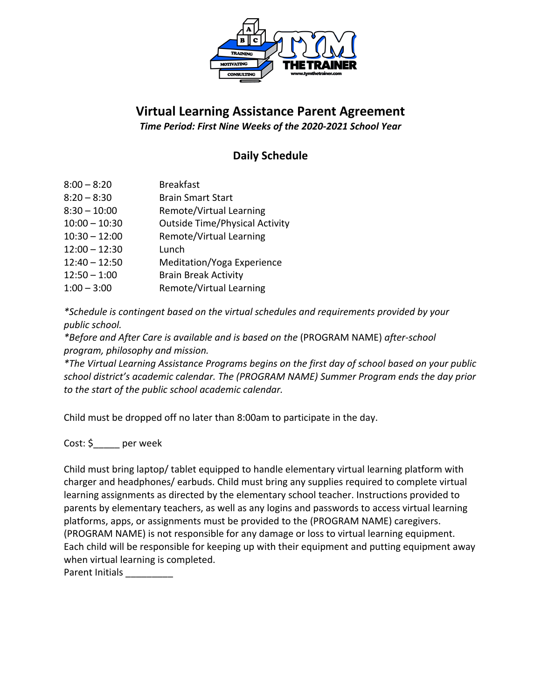

## **Virtual Learning Assistance Parent Agreement**

*Time Period: First Nine Weeks of the 2020-2021 School Year*

## **Daily Schedule**

| $8:00 - 8:20$   | <b>Breakfast</b>                      |
|-----------------|---------------------------------------|
| $8:20 - 8:30$   | <b>Brain Smart Start</b>              |
| $8:30 - 10:00$  | Remote/Virtual Learning               |
| $10:00 - 10:30$ | <b>Outside Time/Physical Activity</b> |
| $10:30 - 12:00$ | Remote/Virtual Learning               |
| $12:00 - 12:30$ | Lunch                                 |
| $12:40 - 12:50$ | Meditation/Yoga Experience            |
| $12:50 - 1:00$  | <b>Brain Break Activity</b>           |
| $1:00 - 3:00$   | Remote/Virtual Learning               |

*\*Schedule is contingent based on the virtual schedules and requirements provided by your public school.* 

*\*Before and After Care is available and is based on the* (PROGRAM NAME) *after-school program, philosophy and mission.* 

*\*The Virtual Learning Assistance Programs begins on the first day of school based on your public school district's academic calendar. The (PROGRAM NAME) Summer Program ends the day prior to the start of the public school academic calendar.* 

Child must be dropped off no later than 8:00am to participate in the day.

Cost: \$ per week

Child must bring laptop/ tablet equipped to handle elementary virtual learning platform with charger and headphones/ earbuds. Child must bring any supplies required to complete virtual learning assignments as directed by the elementary school teacher. Instructions provided to parents by elementary teachers, as well as any logins and passwords to access virtual learning platforms, apps, or assignments must be provided to the (PROGRAM NAME) caregivers. (PROGRAM NAME) is not responsible for any damage or loss to virtual learning equipment. Each child will be responsible for keeping up with their equipment and putting equipment away when virtual learning is completed.

Parent Initials